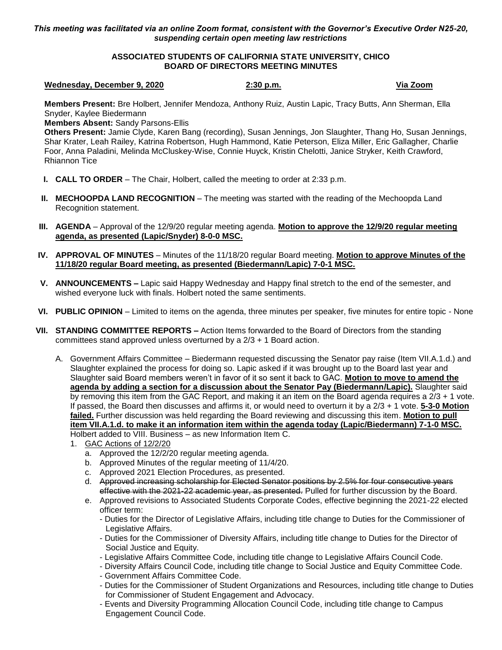# *This meeting was facilitated via an online Zoom format, consistent with the Governor's Executive Order N25-20, suspending certain open meeting law restrictions*

# **ASSOCIATED STUDENTS OF CALIFORNIA STATE UNIVERSITY, CHICO BOARD OF DIRECTORS MEETING MINUTES**

### **Wednesday, December 9, 2020 2:30 p.m. Via Zoom**

**Members Present:** Bre Holbert, Jennifer Mendoza, Anthony Ruiz, Austin Lapic, Tracy Butts, Ann Sherman, Ella Snyder, Kaylee Biedermann

**Members Absent:** Sandy Parsons-Ellis

**Others Present:** Jamie Clyde, Karen Bang (recording), Susan Jennings, Jon Slaughter, Thang Ho, Susan Jennings, Shar Krater, Leah Railey, Katrina Robertson, Hugh Hammond, Katie Peterson, Eliza Miller, Eric Gallagher, Charlie Foor, Anna Paladini, Melinda McCluskey-Wise, Connie Huyck, Kristin Chelotti, Janice Stryker, Keith Crawford, Rhiannon Tice

- **I. CALL TO ORDER** The Chair, Holbert, called the meeting to order at 2:33 p.m.
- **II. MECHOOPDA LAND RECOGNITION** The meeting was started with the reading of the Mechoopda Land Recognition statement.
- **III. AGENDA** Approval of the 12/9/20 regular meeting agenda. **Motion to approve the 12/9/20 regular meeting agenda, as presented (Lapic/Snyder) 8-0-0 MSC.**
- **IV. APPROVAL OF MINUTES** Minutes of the 11/18/20 regular Board meeting. **Motion to approve Minutes of the 11/18/20 regular Board meeting, as presented (Biedermann/Lapic) 7-0-1 MSC.**
- **V. ANNOUNCEMENTS –** Lapic said Happy Wednesday and Happy final stretch to the end of the semester, and wished everyone luck with finals. Holbert noted the same sentiments.
- **VI. PUBLIC OPINION** Limited to items on the agenda, three minutes per speaker, five minutes for entire topic None
- **VII. STANDING COMMITTEE REPORTS –** Action Items forwarded to the Board of Directors from the standing committees stand approved unless overturned by a 2/3 + 1 Board action.
	- A. Government Affairs Committee Biedermann requested discussing the Senator pay raise (Item VII.A.1.d.) and Slaughter explained the process for doing so. Lapic asked if it was brought up to the Board last year and Slaughter said Board members weren't in favor of it so sent it back to GAC. **Motion to move to amend the agenda by adding a section for a discussion about the Senator Pay (Biedermann/Lapic).** Slaughter said by removing this item from the GAC Report, and making it an item on the Board agenda requires a 2/3 + 1 vote. If passed, the Board then discusses and affirms it, or would need to overturn it by a 2/3 + 1 vote. **5-3-0 Motion failed.** Further discussion was held regarding the Board reviewing and discussing this item. **Motion to pull item VII.A.1.d. to make it an information item within the agenda today (Lapic/Biedermann) 7-1-0 MSC.** Holbert added to VIII. Business – as new Information Item C.
		- 1. GAC Actions of 12/2/20
			- a. Approved the 12/2/20 regular meeting agenda.
			- b. Approved Minutes of the regular meeting of 11/4/20.
			- c. Approved 2021 Election Procedures, as presented.
			- d. Approved increasing scholarship for Elected Senator positions by 2.5% for four consecutive years effective with the 2021-22 academic year, as presented. Pulled for further discussion by the Board.
			- e. Approved revisions to Associated Students Corporate Codes, effective beginning the 2021-22 elected officer term:
				- Duties for the Director of Legislative Affairs, including title change to Duties for the Commissioner of Legislative Affairs.
				- Duties for the Commissioner of Diversity Affairs, including title change to Duties for the Director of Social Justice and Equity.
				- Legislative Affairs Committee Code, including title change to Legislative Affairs Council Code.
				- Diversity Affairs Council Code, including title change to Social Justice and Equity Committee Code.
				- Government Affairs Committee Code.
				- Duties for the Commissioner of Student Organizations and Resources, including title change to Duties for Commissioner of Student Engagement and Advocacy.
				- Events and Diversity Programming Allocation Council Code, including title change to Campus Engagement Council Code.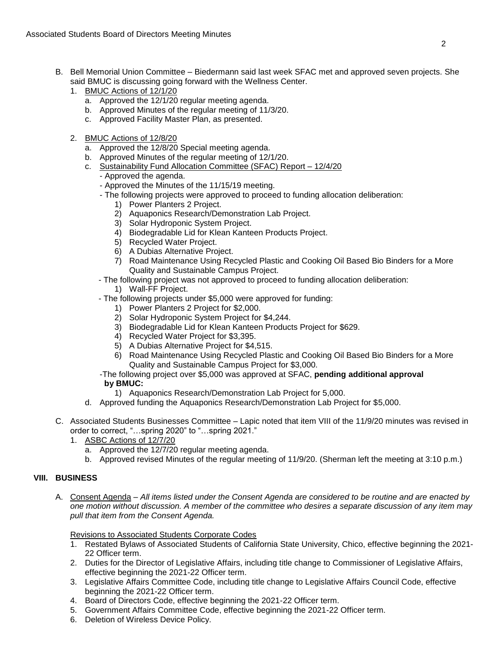- B. Bell Memorial Union Committee Biedermann said last week SFAC met and approved seven projects. She said BMUC is discussing going forward with the Wellness Center.
	- 1. BMUC Actions of 12/1/20
		- a. Approved the 12/1/20 regular meeting agenda.
		- b. Approved Minutes of the regular meeting of 11/3/20.
		- c. Approved Facility Master Plan, as presented.
	- 2. BMUC Actions of 12/8/20
		- a. Approved the 12/8/20 Special meeting agenda.
		- b. Approved Minutes of the regular meeting of 12/1/20.
		- c. Sustainability Fund Allocation Committee (SFAC) Report 12/4/20
			- Approved the agenda.
			- Approved the Minutes of the 11/15/19 meeting.
			- The following projects were approved to proceed to funding allocation deliberation:
				- 1) Power Planters 2 Project.
				- 2) Aquaponics Research/Demonstration Lab Project.
				- 3) Solar Hydroponic System Project.
				- 4) Biodegradable Lid for Klean Kanteen Products Project.
				- 5) Recycled Water Project.
				- 6) A Dubias Alternative Project.
				- 7) Road Maintenance Using Recycled Plastic and Cooking Oil Based Bio Binders for a More Quality and Sustainable Campus Project.
			- The following project was not approved to proceed to funding allocation deliberation:
				- 1) Wall-FF Project.
			- The following projects under \$5,000 were approved for funding:
				- 1) Power Planters 2 Project for \$2,000.
				- 2) Solar Hydroponic System Project for \$4,244.
				- 3) Biodegradable Lid for Klean Kanteen Products Project for \$629.
				- 4) Recycled Water Project for \$3,395.
				- 5) A Dubias Alternative Project for \$4,515.
				- 6) Road Maintenance Using Recycled Plastic and Cooking Oil Based Bio Binders for a More Quality and Sustainable Campus Project for \$3,000.
			- -The following project over \$5,000 was approved at SFAC, **pending additional approval by BMUC:**
			- 1) Aquaponics Research/Demonstration Lab Project for 5,000.
		- d. Approved funding the Aquaponics Research/Demonstration Lab Project for \$5,000.
- C. Associated Students Businesses Committee Lapic noted that item VIII of the 11/9/20 minutes was revised in order to correct, "…spring 2020" to "…spring 2021."
	- 1. ASBC Actions of 12/7/20
		- a. Approved the 12/7/20 regular meeting agenda.
		- b. Approved revised Minutes of the regular meeting of 11/9/20. (Sherman left the meeting at 3:10 p.m.)

# **VIII. BUSINESS**

A. Consent Agenda – *All items listed under the Consent Agenda are considered to be routine and are enacted by one motion without discussion. A member of the committee who desires a separate discussion of any item may pull that item from the Consent Agenda.*

Revisions to Associated Students Corporate Codes

- 1. Restated Bylaws of Associated Students of California State University, Chico, effective beginning the 2021- 22 Officer term.
- 2. Duties for the Director of Legislative Affairs, including title change to Commissioner of Legislative Affairs, effective beginning the 2021-22 Officer term.
- 3. Legislative Affairs Committee Code, including title change to Legislative Affairs Council Code, effective beginning the 2021-22 Officer term.
- 4. Board of Directors Code, effective beginning the 2021-22 Officer term.
- 5. Government Affairs Committee Code, effective beginning the 2021-22 Officer term.
- 6. Deletion of Wireless Device Policy.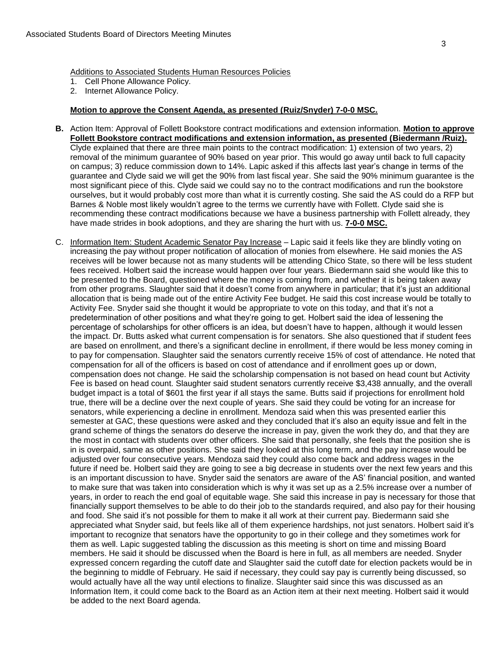Additions to Associated Students Human Resources Policies

- 1. Cell Phone Allowance Policy.
- 2. Internet Allowance Policy.

# **Motion to approve the Consent Agenda, as presented (Ruiz/Snyder) 7-0-0 MSC.**

- **B.** Action Item: Approval of Follett Bookstore contract modifications and extension information. **Motion to approve Follett Bookstore contract modifications and extension information, as presented (Biedermann /Ruiz).** Clyde explained that there are three main points to the contract modification: 1) extension of two years, 2) removal of the minimum guarantee of 90% based on year prior. This would go away until back to full capacity on campus; 3) reduce commission down to 14%. Lapic asked if this affects last year's change in terms of the guarantee and Clyde said we will get the 90% from last fiscal year. She said the 90% minimum guarantee is the most significant piece of this. Clyde said we could say no to the contract modifications and run the bookstore ourselves, but it would probably cost more than what it is currently costing. She said the AS could do a RFP but Barnes & Noble most likely wouldn't agree to the terms we currently have with Follett. Clyde said she is recommending these contract modifications because we have a business partnership with Follett already, they have made strides in book adoptions, and they are sharing the hurt with us. **7-0-0 MSC.**
- C. Information Item: Student Academic Senator Pay Increase Lapic said it feels like they are blindly voting on increasing the pay without proper notification of allocation of monies from elsewhere. He said monies the AS receives will be lower because not as many students will be attending Chico State, so there will be less student fees received. Holbert said the increase would happen over four years. Biedermann said she would like this to be presented to the Board, questioned where the money is coming from, and whether it is being taken away from other programs. Slaughter said that it doesn't come from anywhere in particular; that it's just an additional allocation that is being made out of the entire Activity Fee budget. He said this cost increase would be totally to Activity Fee. Snyder said she thought it would be appropriate to vote on this today, and that it's not a predetermination of other positions and what they're going to get. Holbert said the idea of lessening the percentage of scholarships for other officers is an idea, but doesn't have to happen, although it would lessen the impact. Dr. Butts asked what current compensation is for senators. She also questioned that if student fees are based on enrollment, and there's a significant decline in enrollment, if there would be less money coming in to pay for compensation. Slaughter said the senators currently receive 15% of cost of attendance. He noted that compensation for all of the officers is based on cost of attendance and if enrollment goes up or down, compensation does not change. He said the scholarship compensation is not based on head count but Activity Fee is based on head count. Slaughter said student senators currently receive \$3,438 annually, and the overall budget impact is a total of \$601 the first year if all stays the same. Butts said if projections for enrollment hold true, there will be a decline over the next couple of years. She said they could be voting for an increase for senators, while experiencing a decline in enrollment. Mendoza said when this was presented earlier this semester at GAC, these questions were asked and they concluded that it's also an equity issue and felt in the grand scheme of things the senators do deserve the increase in pay, given the work they do, and that they are the most in contact with students over other officers. She said that personally, she feels that the position she is in is overpaid, same as other positions. She said they looked at this long term, and the pay increase would be adjusted over four consecutive years. Mendoza said they could also come back and address wages in the future if need be. Holbert said they are going to see a big decrease in students over the next few years and this is an important discussion to have. Snyder said the senators are aware of the AS' financial position, and wanted to make sure that was taken into consideration which is why it was set up as a 2.5% increase over a number of years, in order to reach the end goal of equitable wage. She said this increase in pay is necessary for those that financially support themselves to be able to do their job to the standards required, and also pay for their housing and food. She said it's not possible for them to make it all work at their current pay. Biedermann said she appreciated what Snyder said, but feels like all of them experience hardships, not just senators. Holbert said it's important to recognize that senators have the opportunity to go in their college and they sometimes work for them as well. Lapic suggested tabling the discussion as this meeting is short on time and missing Board members. He said it should be discussed when the Board is here in full, as all members are needed. Snyder expressed concern regarding the cutoff date and Slaughter said the cutoff date for election packets would be in the beginning to middle of February. He said if necessary, they could say pay is currently being discussed, so would actually have all the way until elections to finalize. Slaughter said since this was discussed as an Information Item, it could come back to the Board as an Action item at their next meeting. Holbert said it would be added to the next Board agenda.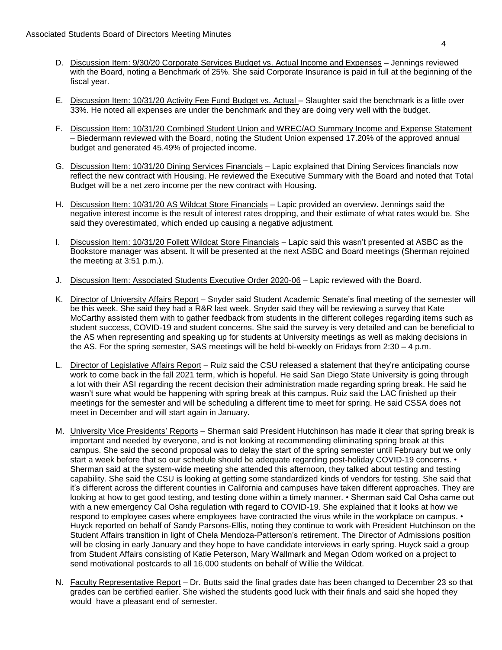- D. Discussion Item: 9/30/20 Corporate Services Budget vs. Actual Income and Expenses Jennings reviewed with the Board, noting a Benchmark of 25%. She said Corporate Insurance is paid in full at the beginning of the fiscal year.
- E. Discussion Item: 10/31/20 Activity Fee Fund Budget vs. Actual Slaughter said the benchmark is a little over 33%. He noted all expenses are under the benchmark and they are doing very well with the budget.
- F. Discussion Item: 10/31/20 Combined Student Union and WREC/AO Summary Income and Expense Statement – Biedermann reviewed with the Board, noting the Student Union expensed 17.20% of the approved annual budget and generated 45.49% of projected income.
- G. Discussion Item: 10/31/20 Dining Services Financials Lapic explained that Dining Services financials now reflect the new contract with Housing. He reviewed the Executive Summary with the Board and noted that Total Budget will be a net zero income per the new contract with Housing.
- H. Discussion Item: 10/31/20 AS Wildcat Store Financials Lapic provided an overview. Jennings said the negative interest income is the result of interest rates dropping, and their estimate of what rates would be. She said they overestimated, which ended up causing a negative adjustment.
- I. Discussion Item: 10/31/20 Follett Wildcat Store Financials Lapic said this wasn't presented at ASBC as the Bookstore manager was absent. It will be presented at the next ASBC and Board meetings (Sherman rejoined the meeting at 3:51 p.m.).
- J. Discussion Item: Associated Students Executive Order 2020-06 Lapic reviewed with the Board.
- K. Director of University Affairs Report Snyder said Student Academic Senate's final meeting of the semester will be this week. She said they had a R&R last week. Snyder said they will be reviewing a survey that Kate McCarthy assisted them with to gather feedback from students in the different colleges regarding items such as student success, COVID-19 and student concerns. She said the survey is very detailed and can be beneficial to the AS when representing and speaking up for students at University meetings as well as making decisions in the AS. For the spring semester, SAS meetings will be held bi-weekly on Fridays from 2:30 – 4 p.m.
- L. Director of Legislative Affairs Report Ruiz said the CSU released a statement that they're anticipating course work to come back in the fall 2021 term, which is hopeful. He said San Diego State University is going through a lot with their ASI regarding the recent decision their administration made regarding spring break. He said he wasn't sure what would be happening with spring break at this campus. Ruiz said the LAC finished up their meetings for the semester and will be scheduling a different time to meet for spring. He said CSSA does not meet in December and will start again in January.
- M. University Vice Presidents' Reports Sherman said President Hutchinson has made it clear that spring break is important and needed by everyone, and is not looking at recommending eliminating spring break at this campus. She said the second proposal was to delay the start of the spring semester until February but we only start a week before that so our schedule should be adequate regarding post-holiday COVID-19 concerns. • Sherman said at the system-wide meeting she attended this afternoon, they talked about testing and testing capability. She said the CSU is looking at getting some standardized kinds of vendors for testing. She said that it's different across the different counties in California and campuses have taken different approaches. They are looking at how to get good testing, and testing done within a timely manner. • Sherman said Cal Osha came out with a new emergency Cal Osha regulation with regard to COVID-19. She explained that it looks at how we respond to employee cases where employees have contracted the virus while in the workplace on campus.  $\cdot$ Huyck reported on behalf of Sandy Parsons-Ellis, noting they continue to work with President Hutchinson on the Student Affairs transition in light of Chela Mendoza-Patterson's retirement. The Director of Admissions position will be closing in early January and they hope to have candidate interviews in early spring. Huyck said a group from Student Affairs consisting of Katie Peterson, Mary Wallmark and Megan Odom worked on a project to send motivational postcards to all 16,000 students on behalf of Willie the Wildcat.
- N. Faculty Representative Report Dr. Butts said the final grades date has been changed to December 23 so that grades can be certified earlier. She wished the students good luck with their finals and said she hoped they would have a pleasant end of semester.